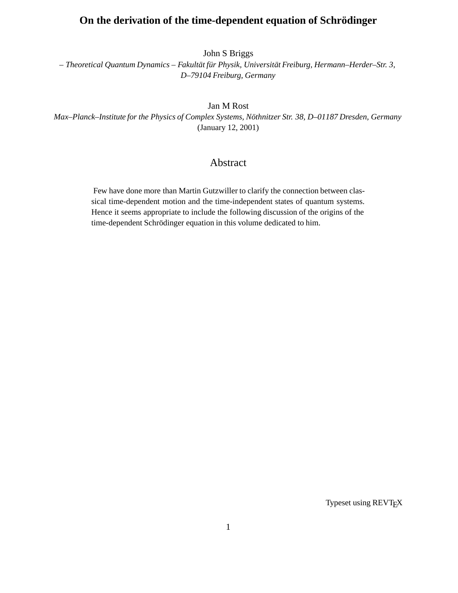# **On the derivation of the time-dependent equation of Schrodinger ¨**

John S Briggs

*– Theoretical Quantum Dynamics – Fakult¨at f¨ur Physik, Universit¨at Freiburg, Hermann–Herder–Str. 3, D–79104 Freiburg, Germany*

Jan M Rost

*Max–Planck–Institute for the Physics of Complex Systems, Nöthnitzer Str. 38, D–01187 Dresden, Germany* (January 12, 2001)

# Abstract

Few have done more than Martin Gutzwiller to clarify the connection between classical time-dependent motion and the time-independent states of quantum systems. Hence it seems appropriate to include the following discussion of the origins of the time-dependent Schrödinger equation in this volume dedicated to him.

Typeset using REVT<sub>E</sub>X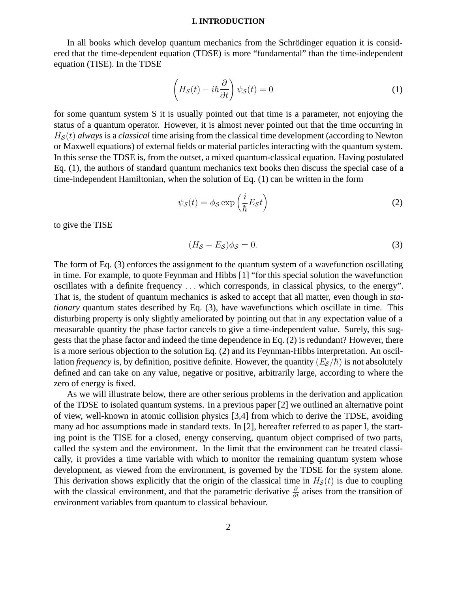#### **I. INTRODUCTION**

In all books which develop quantum mechanics from the Schrödinger equation it is considered that the time-dependent equation (TDSE) is more "fundamental" than the time-independent equation (TISE). In the TDSE

$$
\left(H_{\mathcal{S}}(t) - i\hbar \frac{\partial}{\partial t}\right)\psi_{\mathcal{S}}(t) = 0\tag{1}
$$

for some quantum system S it is usually pointed out that time is a parameter, not enjoying the status of a quantum operator. However, it is almost never pointed out that the time occurring in  $H<sub>S</sub>(t)$  *always* is a *classical* time arising from the classical time development (according to Newton or Maxwell equations) of external fields or material particles interacting with the quantum system. In this sense the TDSE is, from the outset, a mixed quantum-classical equation. Having postulated Eq. (1), the authors of standard quantum mechanics text books then discuss the special case of a time-independent Hamiltonian, when the solution of Eq. (1) can be written in the form

$$
\psi_{\mathcal{S}}(t) = \phi_{\mathcal{S}} \exp\left(\frac{i}{\hbar} E_{\mathcal{S}} t\right) \tag{2}
$$

to give the TISE

$$
(H_{\mathcal{S}} - E_{\mathcal{S}})\phi_{\mathcal{S}} = 0. \tag{3}
$$

The form of Eq. (3) enforces the assignment to the quantum system of a wavefunction oscillating in time. For example, to quote Feynman and Hibbs [1] "for this special solution the wavefunction oscillates with a definite frequency ... which corresponds, in classical physics, to the energy". That is, the student of quantum mechanics is asked to accept that all matter, even though in *stationary* quantum states described by Eq. (3), have wavefunctions which oscillate in time. This disturbing property is only slightly ameliorated by pointing out that in any expectation value of a measurable quantity the phase factor cancels to give a time-independent value. Surely, this suggests that the phase factor and indeed the time dependence in Eq. (2) is redundant? However, there is a more serious objection to the solution Eq. (2) and its Feynman-Hibbs interpretation. An oscillation *frequency* is, by definition, positive definite. However, the quantity  $(E<sub>S</sub>/\hbar)$  is not absolutely defined and can take on any value, negative or positive, arbitrarily large, according to where the zero of energy is fixed.

As we will illustrate below, there are other serious problems in the derivation and application of the TDSE to isolated quantum systems. In a previous paper [2] we outlined an alternative point of view, well-known in atomic collision physics [3,4] from which to derive the TDSE, avoiding many ad hoc assumptions made in standard texts. In [2], hereafter referred to as paper I, the starting point is the TISE for a closed, energy conserving, quantum object comprised of two parts, called the system and the environment. In the limit that the environment can be treated classically, it provides a time variable with which to monitor the remaining quantum system whose development, as viewed from the environment, is governed by the TDSE for the system alone. This derivation shows explicitly that the origin of the classical time in  $H<sub>S</sub>(t)$  is due to coupling with the classical environment, and that the parametric derivative  $\frac{\partial}{\partial t}$  arises from the transition of environment variables from quantum to classical behaviour.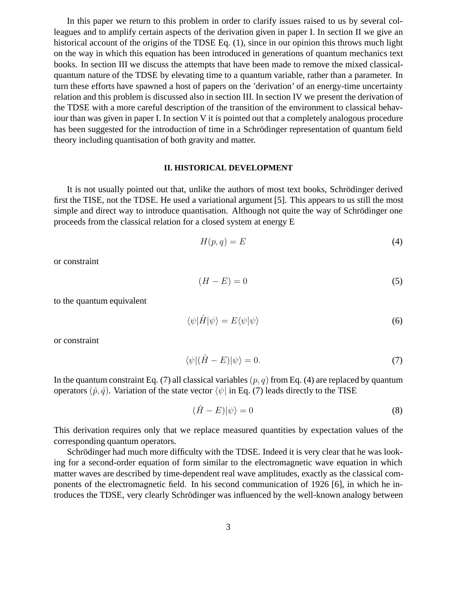In this paper we return to this problem in order to clarify issues raised to us by several colleagues and to amplify certain aspects of the derivation given in paper I. In section II we give an historical account of the origins of the TDSE Eq. (1), since in our opinion this throws much light on the way in which this equation has been introduced in generations of quantum mechanics text books. In section III we discuss the attempts that have been made to remove the mixed classicalquantum nature of the TDSE by elevating time to a quantum variable, rather than a parameter. In turn these efforts have spawned a host of papers on the 'derivation' of an energy-time uncertainty relation and this problem is discussed also in section III. In section IV we present the derivation of the TDSE with a more careful description of the transition of the environment to classical behaviour than was given in paper I. In section V it is pointed out that a completely analogous procedure has been suggested for the introduction of time in a Schrödinger representation of quantum field theory including quantisation of both gravity and matter.

#### **II. HISTORICAL DEVELOPMENT**

It is not usually pointed out that, unlike the authors of most text books, Schrödinger derived first the TISE, not the TDSE. He used a variational argument [5]. This appears to us still the most simple and direct way to introduce quantisation. Although not quite the way of Schrödinger one proceeds from the classical relation for a closed system at energy E

$$
H(p,q) = E \tag{4}
$$

or constraint

$$
(H - E) = 0 \tag{5}
$$

to the quantum equivalent

$$
\langle \psi | \hat{H} | \psi \rangle = E \langle \psi | \psi \rangle \tag{6}
$$

or constraint

$$
\langle \psi | (\hat{H} - E) | \psi \rangle = 0. \tag{7}
$$

In the quantum constraint Eq. (7) all classical variables  $(p, q)$  from Eq. (4) are replaced by quantum operators  $(\hat{p}, \hat{q})$ . Variation of the state vector  $\langle \psi |$  in Eq. (7) leads directly to the TISE

$$
(\hat{H} - E)|\psi\rangle = 0\tag{8}
$$

This derivation requires only that we replace measured quantities by expectation values of the corresponding quantum operators.

Schrödinger had much more difficulty with the TDSE. Indeed it is very clear that he was looking for a second-order equation of form similar to the electromagnetic wave equation in which matter waves are described by time-dependent real wave amplitudes, exactly as the classical components of the electromagnetic field. In his second communication of 1926 [6], in which he introduces the TDSE, very clearly Schrödinger was influenced by the well-known analogy between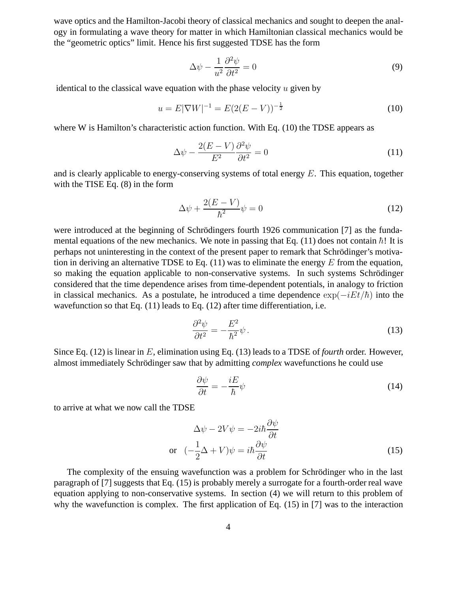wave optics and the Hamilton-Jacobi theory of classical mechanics and sought to deepen the analogy in formulating a wave theory for matter in which Hamiltonian classical mechanics would be the "geometric optics" limit. Hence his first suggested TDSE has the form

$$
\Delta \psi - \frac{1}{u^2} \frac{\partial^2 \psi}{\partial t^2} = 0 \tag{9}
$$

identical to the classical wave equation with the phase velocity  $u$  given by

$$
u = E|\nabla W|^{-1} = E(2(E - V))^{-\frac{1}{2}}
$$
\n(10)

where W is Hamilton's characteristic action function. With Eq. (10) the TDSE appears as

$$
\Delta \psi - \frac{2(E - V)}{E^2} \frac{\partial^2 \psi}{\partial t^2} = 0 \tag{11}
$$

and is clearly applicable to energy-conserving systems of total energy  $E$ . This equation, together with the TISE Eq. (8) in the form

$$
\Delta \psi + \frac{2(E - V)}{\hbar^2} \psi = 0 \tag{12}
$$

were introduced at the beginning of Schrödingers fourth 1926 communication [7] as the fundamental equations of the new mechanics. We note in passing that Eq. (11) does not contain  $\hbar$ ! It is perhaps not uninteresting in the context of the present paper to remark that Schrödinger's motivation in deriving an alternative TDSE to Eq.  $(11)$  was to eliminate the energy E from the equation, so making the equation applicable to non-conservative systems. In such systems Schrödinger considered that the time dependence arises from time-dependent potentials, in analogy to friction in classical mechanics. As a postulate, he introduced a time dependence  $\exp(-iEt/\hbar)$  into the wavefunction so that Eq. (11) leads to Eq. (12) after time differentiation, i.e.

$$
\frac{\partial^2 \psi}{\partial t^2} = -\frac{E^2}{\hbar^2} \psi \,. \tag{13}
$$

Since Eq. (12) is linear in E, elimination using Eq. (13) leads to a TDSE of *fourth* order. However, almost immediately Schrödinger saw that by admitting *complex* wavefunctions he could use

$$
\frac{\partial \psi}{\partial t} = -\frac{iE}{\hbar} \psi \tag{14}
$$

to arrive at what we now call the TDSE

$$
\Delta \psi - 2V\psi = -2i\hbar \frac{\partial \psi}{\partial t}
$$
  
or 
$$
(-\frac{1}{2}\Delta + V)\psi = i\hbar \frac{\partial \psi}{\partial t}
$$
 (15)

The complexity of the ensuing wavefunction was a problem for Schrödinger who in the last paragraph of [7] suggests that Eq. (15) is probably merely a surrogate for a fourth-order real wave equation applying to non-conservative systems. In section (4) we will return to this problem of why the wavefunction is complex. The first application of Eq. (15) in [7] was to the interaction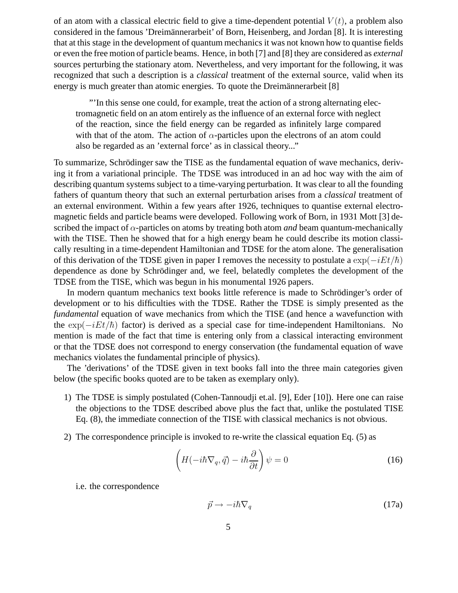of an atom with a classical electric field to give a time-dependent potential  $V(t)$ , a problem also considered in the famous 'Dreimännerarbeit' of Born, Heisenberg, and Jordan [8]. It is interesting that at this stage in the development of quantum mechanics it was not known how to quantise fields or even the free motion of particle beams. Hence, in both [7] and [8] they are considered as *external* sources perturbing the stationary atom. Nevertheless, and very important for the following, it was recognized that such a description is a *classical* treatment of the external source, valid when its energy is much greater than atomic energies. To quote the Dreimännerarbeit  $[8]$ 

"'In this sense one could, for example, treat the action of a strong alternating electromagnetic field on an atom entirely as the influence of an external force with neglect of the reaction, since the field energy can be regarded as infinitely large compared with that of the atom. The action of  $\alpha$ -particles upon the electrons of an atom could also be regarded as an 'external force' as in classical theory..."

To summarize, Schrödinger saw the TISE as the fundamental equation of wave mechanics, deriving it from a variational principle. The TDSE was introduced in an ad hoc way with the aim of describing quantum systems subject to a time-varying perturbation. It was clear to all the founding fathers of quantum theory that such an external perturbation arises from a *classical* treatment of an external environment. Within a few years after 1926, techniques to quantise external electromagnetic fields and particle beams were developed. Following work of Born, in 1931 Mott [3] described the impact of  $\alpha$ -particles on atoms by treating both atom *and* beam quantum-mechanically with the TISE. Then he showed that for a high energy beam he could describe its motion classically resulting in a time-dependent Hamiltonian and TDSE for the atom alone. The generalisation of this derivation of the TDSE given in paper I removes the necessity to postulate a  $\exp(-iEt/\hbar)$ dependence as done by Schrödinger and, we feel, belatedly completes the development of the TDSE from the TISE, which was begun in his monumental 1926 papers.

In modern quantum mechanics text books little reference is made to Schrödinger's order of development or to his difficulties with the TDSE. Rather the TDSE is simply presented as the *fundamental* equation of wave mechanics from which the TISE (and hence a wavefunction with the  $\exp(-iEt/\hbar)$  factor) is derived as a special case for time-independent Hamiltonians. No mention is made of the fact that time is entering only from a classical interacting environment or that the TDSE does not correspond to energy conservation (the fundamental equation of wave mechanics violates the fundamental principle of physics).

The 'derivations' of the TDSE given in text books fall into the three main categories given below (the specific books quoted are to be taken as exemplary only).

- 1) The TDSE is simply postulated (Cohen-Tannoudji et.al. [9], Eder [10]). Here one can raise the objections to the TDSE described above plus the fact that, unlike the postulated TISE Eq. (8), the immediate connection of the TISE with classical mechanics is not obvious.
- 2) The correspondence principle is invoked to re-write the classical equation Eq. (5) as

$$
\left(H(-i\hbar\nabla_q,\vec{q})-i\hbar\frac{\partial}{\partial t}\right)\psi=0
$$
\n(16)

i.e. the correspondence

$$
\vec{p} \to -i\hbar \nabla_q \tag{17a}
$$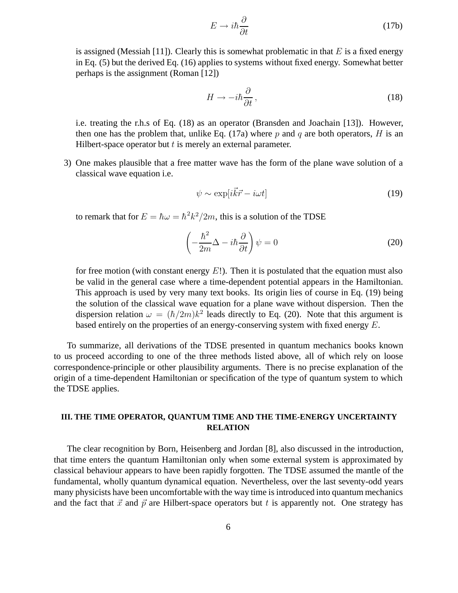$$
E \to i\hbar \frac{\partial}{\partial t} \tag{17b}
$$

is assigned (Messiah [11]). Clearly this is somewhat problematic in that  $E$  is a fixed energy in Eq. (5) but the derived Eq. (16) applies to systems without fixed energy. Somewhat better perhaps is the assignment (Roman [12])

$$
H \to -i\hbar \frac{\partial}{\partial t} \,,\tag{18}
$$

i.e. treating the r.h.s of Eq. (18) as an operator (Bransden and Joachain [13]). However, then one has the problem that, unlike Eq. (17a) where p and q are both operators, H is an Hilbert-space operator but  $t$  is merely an external parameter.

3) One makes plausible that a free matter wave has the form of the plane wave solution of a classical wave equation i.e.

$$
\psi \sim \exp[i\vec{k}\vec{r} - i\omega t] \tag{19}
$$

to remark that for  $E = \hbar \omega = \hbar^2 k^2 / 2m$ , this is a solution of the TDSE

$$
\left(-\frac{\hbar^2}{2m}\Delta - i\hbar\frac{\partial}{\partial t}\right)\psi = 0\tag{20}
$$

for free motion (with constant energy  $E!$ ). Then it is postulated that the equation must also be valid in the general case where a time-dependent potential appears in the Hamiltonian. This approach is used by very many text books. Its origin lies of course in Eq. (19) being the solution of the classical wave equation for a plane wave without dispersion. Then the dispersion relation  $\omega = (\hbar/2m)k^2$  leads directly to Eq. (20). Note that this argument is based entirely on the properties of an energy-conserving system with fixed energy E.

To summarize, all derivations of the TDSE presented in quantum mechanics books known to us proceed according to one of the three methods listed above, all of which rely on loose correspondence-principle or other plausibility arguments. There is no precise explanation of the origin of a time-dependent Hamiltonian or specification of the type of quantum system to which the TDSE applies.

## **III. THE TIME OPERATOR, QUANTUM TIME AND THE TIME-ENERGY UNCERTAINTY RELATION**

The clear recognition by Born, Heisenberg and Jordan [8], also discussed in the introduction, that time enters the quantum Hamiltonian only when some external system is approximated by classical behaviour appears to have been rapidly forgotten. The TDSE assumed the mantle of the fundamental, wholly quantum dynamical equation. Nevertheless, over the last seventy-odd years many physicists have been uncomfortable with the way time is introduced into quantum mechanics and the fact that  $\vec{x}$  and  $\vec{p}$  are Hilbert-space operators but t is apparently not. One strategy has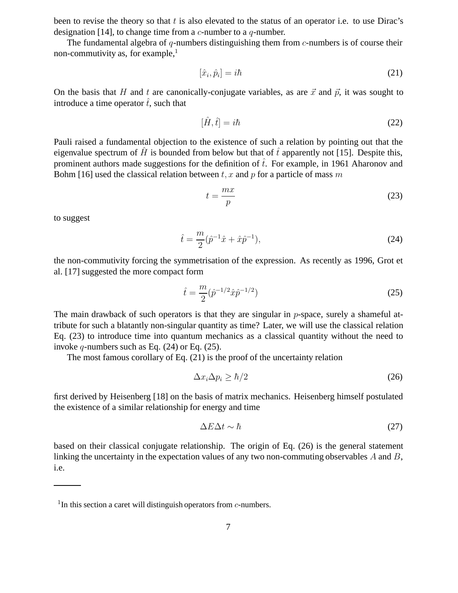been to revise the theory so that  $t$  is also elevated to the status of an operator i.e. to use Dirac's designation [14], to change time from a  $c$ -number to a  $q$ -number.

The fundamental algebra of q-numbers distinguishing them from  $c$ -numbers is of course their non-commutivity as, for example, $<sup>1</sup>$ </sup>

$$
[\hat{x}_i, \hat{p}_i] = i\hbar \tag{21}
$$

On the basis that H and t are canonically-conjugate variables, as are  $\vec{x}$  and  $\vec{p}$ , it was sought to introduce a time operator  $\hat{t}$ , such that

$$
[\hat{H}, \hat{t}] = i\hbar \tag{22}
$$

Pauli raised a fundamental objection to the existence of such a relation by pointing out that the eigenvalue spectrum of  $\hat{H}$  is bounded from below but that of  $\hat{t}$  apparently not [15]. Despite this, prominent authors made suggestions for the definition of  $\hat{t}$ . For example, in 1961 Aharonov and Bohm [16] used the classical relation between t, x and p for a particle of mass m

$$
t = \frac{mx}{p} \tag{23}
$$

to suggest

$$
\hat{t} = \frac{m}{2}(\hat{p}^{-1}\hat{x} + \hat{x}\hat{p}^{-1}),\tag{24}
$$

the non-commutivity forcing the symmetrisation of the expression. As recently as 1996, Grot et al. [17] suggested the more compact form

$$
\hat{t} = \frac{m}{2} (\hat{p}^{-1/2} \hat{x} \hat{p}^{-1/2})
$$
\n(25)

The main drawback of such operators is that they are singular in  $p$ -space, surely a shameful attribute for such a blatantly non-singular quantity as time? Later, we will use the classical relation Eq. (23) to introduce time into quantum mechanics as a classical quantity without the need to invoke q-numbers such as Eq.  $(24)$  or Eq.  $(25)$ .

The most famous corollary of Eq. (21) is the proof of the uncertainty relation

$$
\Delta x_i \Delta p_i \ge \hbar/2 \tag{26}
$$

first derived by Heisenberg [18] on the basis of matrix mechanics. Heisenberg himself postulated the existence of a similar relationship for energy and time

$$
\Delta E \Delta t \sim \hbar \tag{27}
$$

based on their classical conjugate relationship. The origin of Eq. (26) is the general statement linking the uncertainty in the expectation values of any two non-commuting observables A and B, i.e.

<sup>&</sup>lt;sup>1</sup>In this section a caret will distinguish operators from  $c$ -numbers.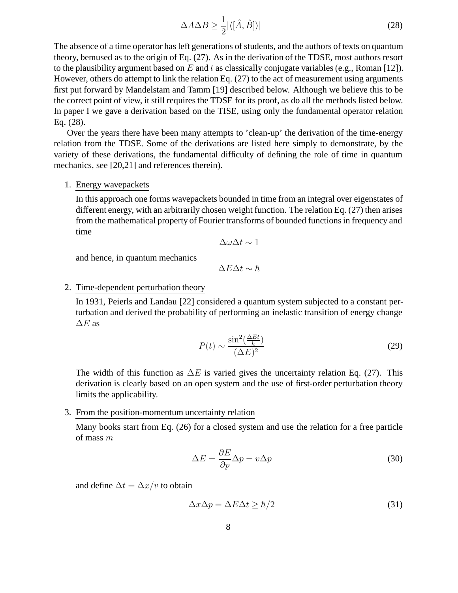$$
\Delta A \Delta B \ge \frac{1}{2} |\langle [\hat{A}, \hat{B}] \rangle| \tag{28}
$$

The absence of a time operator has left generations of students, and the authors of texts on quantum theory, bemused as to the origin of Eq. (27). As in the derivation of the TDSE, most authors resort to the plausibility argument based on  $E$  and  $t$  as classically conjugate variables (e.g., Roman [12]). However, others do attempt to link the relation Eq. (27) to the act of measurement using arguments first put forward by Mandelstam and Tamm [19] described below. Although we believe this to be the correct point of view, it still requires the TDSE for its proof, as do all the methods listed below. In paper I we gave a derivation based on the TISE, using only the fundamental operator relation Eq. (28).

Over the years there have been many attempts to 'clean-up' the derivation of the time-energy relation from the TDSE. Some of the derivations are listed here simply to demonstrate, by the variety of these derivations, the fundamental difficulty of defining the role of time in quantum mechanics, see [20,21] and references therein).

## 1. Energy wavepackets

In this approach one forms wavepackets bounded in time from an integral over eigenstates of different energy, with an arbitrarily chosen weight function. The relation Eq. (27) then arises from the mathematical property of Fourier transforms of bounded functions in frequency and time

$$
\Delta\omega\Delta t\sim 1
$$

and hence, in quantum mechanics

 $\Delta E \Delta t \sim \hbar$ 

## 2. Time-dependent perturbation theory

In 1931, Peierls and Landau [22] considered a quantum system subjected to a constant perturbation and derived the probability of performing an inelastic transition of energy change  $\Delta E$  as

$$
P(t) \sim \frac{\sin^2(\frac{\Delta Et}{\hbar})}{(\Delta E)^2} \tag{29}
$$

The width of this function as  $\Delta E$  is varied gives the uncertainty relation Eq. (27). This derivation is clearly based on an open system and the use of first-order perturbation theory limits the applicability.

# 3. From the position-momentum uncertainty relation

Many books start from Eq. (26) for a closed system and use the relation for a free particle of mass  $m$ 

$$
\Delta E = \frac{\partial E}{\partial p} \Delta p = v \Delta p \tag{30}
$$

and define  $\Delta t = \Delta x/v$  to obtain

$$
\Delta x \Delta p = \Delta E \Delta t \ge \hbar/2 \tag{31}
$$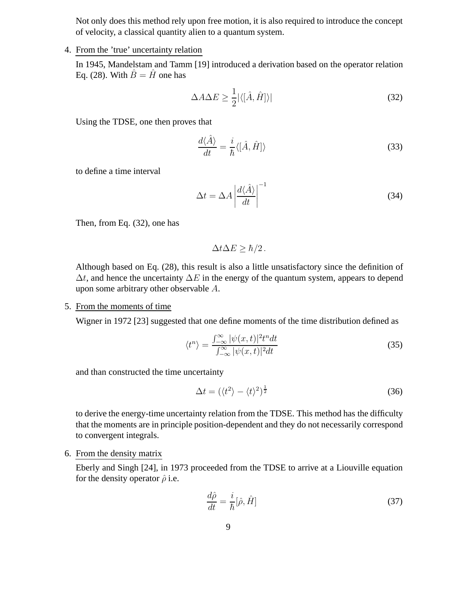Not only does this method rely upon free motion, it is also required to introduce the concept of velocity, a classical quantity alien to a quantum system.

## 4. From the 'true' uncertainty relation

In 1945, Mandelstam and Tamm [19] introduced a derivation based on the operator relation Eq. (28). With  $\hat{B} = \hat{H}$  one has

$$
\Delta A \Delta E \ge \frac{1}{2} |\langle [\hat{A}, \hat{H}] \rangle| \tag{32}
$$

Using the TDSE, one then proves that

$$
\frac{d\langle\hat{A}\rangle}{dt} = \frac{i}{\hbar}\langle[\hat{A},\hat{H}]\rangle\tag{33}
$$

to define a time interval

$$
\Delta t = \Delta A \left| \frac{d\langle \hat{A} \rangle}{dt} \right|^{-1} \tag{34}
$$

Then, from Eq. (32), one has

$$
\Delta t \Delta E \geq \hbar/2.
$$

Although based on Eq. (28), this result is also a little unsatisfactory since the definition of  $\Delta t$ , and hence the uncertainty  $\Delta E$  in the energy of the quantum system, appears to depend upon some arbitrary other observable A.

## 5. From the moments of time

Wigner in 1972 [23] suggested that one define moments of the time distribution defined as

$$
\langle t^n \rangle = \frac{\int_{-\infty}^{\infty} |\psi(x,t)|^2 t^n dt}{\int_{-\infty}^{\infty} |\psi(x,t)|^2 dt}
$$
(35)

and than constructed the time uncertainty

$$
\Delta t = (\langle t^2 \rangle - \langle t \rangle^2)^{\frac{1}{2}} \tag{36}
$$

to derive the energy-time uncertainty relation from the TDSE. This method has the difficulty that the moments are in principle position-dependent and they do not necessarily correspond to convergent integrals.

## 6. From the density matrix

Eberly and Singh [24], in 1973 proceeded from the TDSE to arrive at a Liouville equation for the density operator  $\hat{\rho}$  i.e.

$$
\frac{d\hat{\rho}}{dt} = \frac{i}{\hbar} [\hat{\rho}, \hat{H}] \tag{37}
$$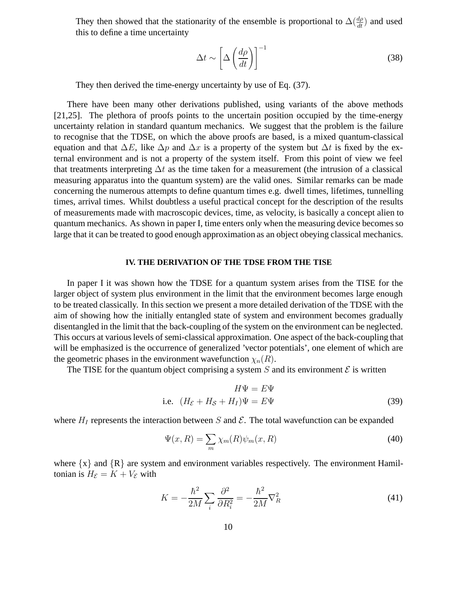They then showed that the stationarity of the ensemble is proportional to  $\Delta(\frac{d\rho}{dt})$  and used this to define a time uncertainty

$$
\Delta t \sim \left[ \Delta \left( \frac{d\rho}{dt} \right) \right]^{-1} \tag{38}
$$

They then derived the time-energy uncertainty by use of Eq. (37).

There have been many other derivations published, using variants of the above methods [21,25]. The plethora of proofs points to the uncertain position occupied by the time-energy uncertainty relation in standard quantum mechanics. We suggest that the problem is the failure to recognise that the TDSE, on which the above proofs are based, is a mixed quantum-classical equation and that  $\Delta E$ , like  $\Delta p$  and  $\Delta x$  is a property of the system but  $\Delta t$  is fixed by the external environment and is not a property of the system itself. From this point of view we feel that treatments interpreting  $\Delta t$  as the time taken for a measurement (the intrusion of a classical measuring apparatus into the quantum system) are the valid ones. Similar remarks can be made concerning the numerous attempts to define quantum times e.g. dwell times, lifetimes, tunnelling times, arrival times. Whilst doubtless a useful practical concept for the description of the results of measurements made with macroscopic devices, time, as velocity, is basically a concept alien to quantum mechanics. As shown in paper I, time enters only when the measuring device becomes so large that it can be treated to good enough approximation as an object obeying classical mechanics.

#### **IV. THE DERIVATION OF THE TDSE FROM THE TISE**

In paper I it was shown how the TDSE for a quantum system arises from the TISE for the larger object of system plus environment in the limit that the environment becomes large enough to be treated classically. In this section we present a more detailed derivation of the TDSE with the aim of showing how the initially entangled state of system and environment becomes gradually disentangled in the limit that the back-coupling of the system on the environment can be neglected. This occurs at various levels of semi-classical approximation. One aspect of the back-coupling that will be emphasized is the occurrence of generalized 'vector potentials', one element of which are the geometric phases in the environment wavefunction  $\chi_n(R)$ .

The TISE for the quantum object comprising a system S and its environment  $\mathcal E$  is written

$$
H\Psi = E\Psi
$$
  
i.e.  $(H_{\mathcal{E}} + H_{\mathcal{S}} + H_{I})\Psi = E\Psi$  (39)

where  $H_I$  represents the interaction between S and  $\mathcal E$ . The total wavefunction can be expanded

$$
\Psi(x,R) = \sum_{m} \chi_m(R) \psi_m(x,R)
$$
\n(40)

where  $\{x\}$  and  $\{R\}$  are system and environment variables respectively. The environment Hamiltonian is  $H_{\mathcal{E}} = K + V_{\mathcal{E}}$  with

$$
K = -\frac{\hbar^2}{2M} \sum_i \frac{\partial^2}{\partial R_i^2} = -\frac{\hbar^2}{2M} \nabla_R^2 \tag{41}
$$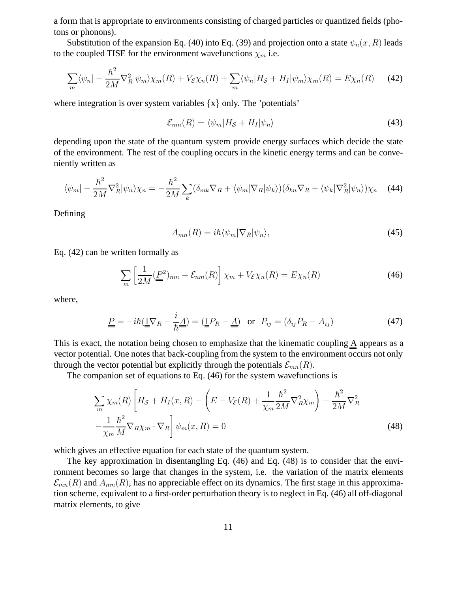a form that is appropriate to environments consisting of charged particles or quantized fields (photons or phonons).

Substitution of the expansion Eq. (40) into Eq. (39) and projection onto a state  $\psi_n(x, R)$  leads to the coupled TISE for the environment wavefunctions  $\chi_m$  i.e.

$$
\sum_{m} \langle \psi_n | - \frac{\hbar^2}{2M} \nabla_R^2 | \psi_m \rangle \chi_m(R) + V_{\mathcal{E}} \chi_n(R) + \sum_m \langle \psi_n | H_{\mathcal{S}} + H_I | \psi_m \rangle \chi_m(R) = E \chi_n(R) \tag{42}
$$

where integration is over system variables  $\{x\}$  only. The 'potentials'

$$
\mathcal{E}_{mn}(R) = \langle \psi_m | H_{\mathcal{S}} + H_I | \psi_n \rangle \tag{43}
$$

depending upon the state of the quantum system provide energy surfaces which decide the state of the environment. The rest of the coupling occurs in the kinetic energy terms and can be conveniently written as

$$
\langle \psi_m | - \frac{\hbar^2}{2M} \nabla_R^2 | \psi_n \rangle \chi_n = - \frac{\hbar^2}{2M} \sum_k (\delta_{mk} \nabla_R + \langle \psi_m | \nabla_R | \psi_k \rangle) (\delta_{kn} \nabla_R + \langle \psi_k | \nabla_R^2 | \psi_n \rangle) \chi_n \quad (44)
$$

Defining

$$
A_{mn}(R) = i\hbar \langle \psi_m | \nabla_R | \psi_n \rangle,\tag{45}
$$

Eq. (42) can be written formally as

$$
\sum_{m} \left[ \frac{1}{2M} (\underline{P}^2)_{nm} + \mathcal{E}_{nm}(R) \right] \chi_m + V_{\mathcal{E}} \chi_n(R) = E \chi_n(R) \tag{46}
$$

where,

$$
\underline{\underline{P}} = -i\hbar(\underline{\underline{1}}\nabla_R - \frac{i}{\hbar}\underline{\underline{A}}) = (\underline{\underline{1}}P_R - \underline{\underline{A}}) \text{ or } P_{ij} = (\delta_{ij}P_R - A_{ij})
$$
(47)

This is exact, the notation being chosen to emphasize that the kinematic coupling A appears as a vector potential. One notes that back-coupling from the system to the environment occurs not only through the vector potential but explicitly through the potentials  $\mathcal{E}_{mn}(R)$ .

The companion set of equations to Eq. (46) for the system wavefunctions is

$$
\sum_{m} \chi_{m}(R) \left[ H_{\mathcal{S}} + H_{I}(x, R) - \left( E - V_{\mathcal{E}}(R) + \frac{1}{\chi_{m}} \frac{\hbar^{2}}{2M} \nabla_{R}^{2} \chi_{m} \right) - \frac{\hbar^{2}}{2M} \nabla_{R}^{2} - \frac{1}{\chi_{m}} \frac{\hbar^{2}}{M} \nabla_{R} \chi_{m} \cdot \nabla_{R} \right] \psi_{m}(x, R) = 0
$$
\n(48)

which gives an effective equation for each state of the quantum system.

The key approximation in disentangling Eq. (46) and Eq. (48) is to consider that the environment becomes so large that changes in the system, i.e. the variation of the matrix elements  $\mathcal{E}_{mn}(R)$  and  $A_{mn}(R)$ , has no appreciable effect on its dynamics. The first stage in this approximation scheme, equivalent to a first-order perturbation theory is to neglect in Eq. (46) all off-diagonal matrix elements, to give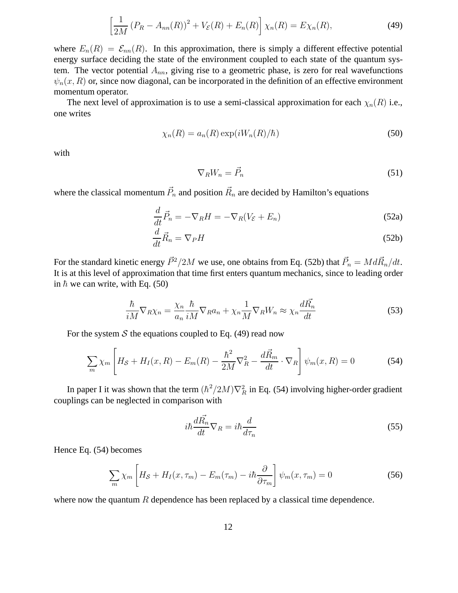$$
\left[\frac{1}{2M}(P_R - A_{nn}(R))^2 + V_{\mathcal{E}}(R) + E_n(R)\right]\chi_n(R) = E\chi_n(R),\tag{49}
$$

where  $E_n(R) = \mathcal{E}_{nn}(R)$ . In this approximation, there is simply a different effective potential energy surface deciding the state of the environment coupled to each state of the quantum system. The vector potential  $A_{nn}$ , giving rise to a geometric phase, is zero for real wavefunctions  $\psi_n(x, R)$  or, since now diagonal, can be incorporated in the definition of an effective environment momentum operator.

The next level of approximation is to use a semi-classical approximation for each  $\chi_n(R)$  i.e., one writes

$$
\chi_n(R) = a_n(R) \exp(iW_n(R)/\hbar)
$$
\n(50)

with

$$
\nabla_R W_n = \vec{P}_n \tag{51}
$$

where the classical momentum  $\vec{P}_n$  and position  $\vec{R}_n$  are decided by Hamilton's equations

$$
\frac{d}{dt}\vec{P}_n = -\nabla_R H = -\nabla_R (V_{\mathcal{E}} + E_n)
$$
\n(52a)

$$
\frac{d}{dt}\vec{R}_n = \nabla_P H\tag{52b}
$$

For the standard kinetic energy  $\vec{P}^2/2M$  we use, one obtains from Eq. (52b) that  $\vec{P}_n = Md\vec{R}_n/dt$ . It is at this level of approximation that time first enters quantum mechanics, since to leading order in  $\hbar$  we can write, with Eq. (50)

$$
\frac{\hbar}{iM}\nabla_R\chi_n = \frac{\chi_n}{a_n}\frac{\hbar}{iM}\nabla_R a_n + \chi_n \frac{1}{M}\nabla_R W_n \approx \chi_n \frac{d\vec{R_n}}{dt}
$$
\n(53)

For the system  $S$  the equations coupled to Eq. (49) read now

$$
\sum_{m} \chi_{m} \left[ H_{\mathcal{S}} + H_{I}(x, R) - E_{m}(R) - \frac{\hbar^{2}}{2M} \nabla_{R}^{2} - \frac{d\vec{R}_{m}}{dt} \cdot \nabla_{R} \right] \psi_{m}(x, R) = 0 \tag{54}
$$

In paper I it was shown that the term  $(\hbar^2/2M)\nabla_R^2$  in Eq. (54) involving higher-order gradient couplings can be neglected in comparison with

$$
i\hbar \frac{d\vec{R_n}}{dt} \nabla_R = i\hbar \frac{d}{d\tau_n}
$$
\n(55)

Hence Eq. (54) becomes

$$
\sum_{m} \chi_{m} \left[ H_{\mathcal{S}} + H_{I}(x, \tau_{m}) - E_{m}(\tau_{m}) - i\hbar \frac{\partial}{\partial \tau_{m}} \right] \psi_{m}(x, \tau_{m}) = 0 \tag{56}
$$

where now the quantum  $R$  dependence has been replaced by a classical time dependence.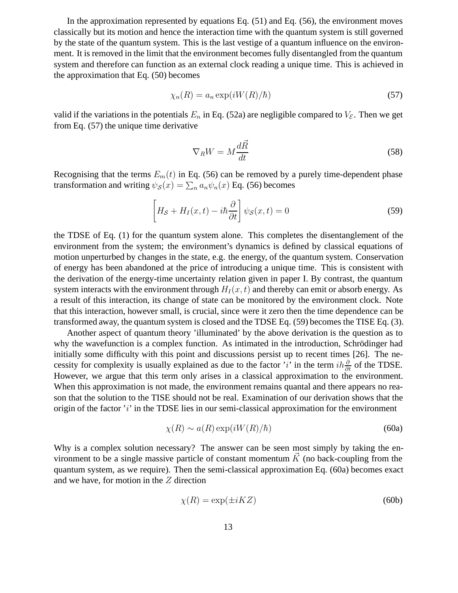In the approximation represented by equations Eq. (51) and Eq. (56), the environment moves classically but its motion and hence the interaction time with the quantum system is still governed by the state of the quantum system. This is the last vestige of a quantum influence on the environment. It is removed in the limit that the environment becomes fully disentangled from the quantum system and therefore can function as an external clock reading a unique time. This is achieved in the approximation that Eq. (50) becomes

$$
\chi_n(R) = a_n \exp(iW(R)/\hbar)
$$
\n(57)

valid if the variations in the potentials  $E_n$  in Eq. (52a) are negligible compared to  $V_{\mathcal{E}}$ . Then we get from Eq. (57) the unique time derivative

$$
\nabla_R W = M \frac{d\vec{R}}{dt} \tag{58}
$$

Recognising that the terms  $E_m(t)$  in Eq. (56) can be removed by a purely time-dependent phase transformation and writing  $\psi_{\mathcal{S}}(x) = \sum_n a_n \psi_n(x)$  Eq. (56) becomes

$$
\left[H_{\mathcal{S}} + H_{I}(x, t) - i\hbar \frac{\partial}{\partial t}\right] \psi_{\mathcal{S}}(x, t) = 0
$$
\n(59)

the TDSE of Eq. (1) for the quantum system alone. This completes the disentanglement of the environment from the system; the environment's dynamics is defined by classical equations of motion unperturbed by changes in the state, e.g. the energy, of the quantum system. Conservation of energy has been abandoned at the price of introducing a unique time. This is consistent with the derivation of the energy-time uncertainty relation given in paper I. By contrast, the quantum system interacts with the environment through  $H_I(x, t)$  and thereby can emit or absorb energy. As a result of this interaction, its change of state can be monitored by the environment clock. Note that this interaction, however small, is crucial, since were it zero then the time dependence can be transformed away, the quantum system is closed and the TDSE Eq. (59) becomes the TISE Eq. (3).

Another aspect of quantum theory 'illuminated' by the above derivation is the question as to why the wavefunction is a complex function. As intimated in the introduction, Schrödinger had initially some difficulty with this point and discussions persist up to recent times [26]. The necessity for complexity is usually explained as due to the factor 'i' in the term  $ih\frac{\partial}{\partial t}$  of the TDSE. However, we argue that this term only arises in a classical approximation to the environment. When this approximation is not made, the environment remains quantal and there appears no reason that the solution to the TISE should not be real. Examination of our derivation shows that the origin of the factor  $i'$  in the TDSE lies in our semi-classical approximation for the environment

$$
\chi(R) \sim a(R) \exp(iW(R)/\hbar)
$$
\n(60a)

Why is a complex solution necessary? The answer can be seen most simply by taking the environment to be a single massive particle of constant momentum  $\vec{K}$  (no back-coupling from the quantum system, as we require). Then the semi-classical approximation Eq. (60a) becomes exact and we have, for motion in the  $Z$  direction

$$
\chi(R) = \exp(\pm iKZ) \tag{60b}
$$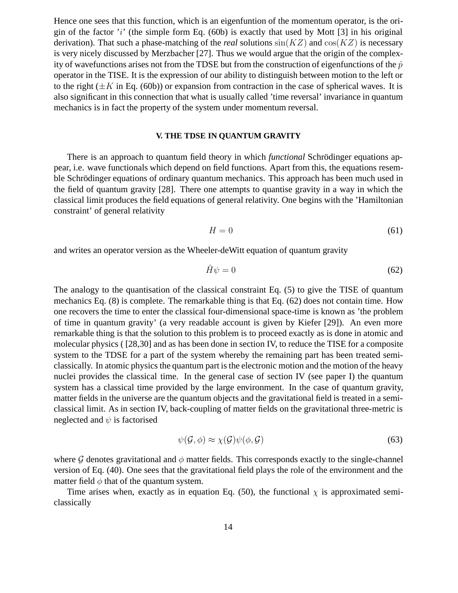Hence one sees that this function, which is an eigenfuntion of the momentum operator, is the origin of the factor  $i'$  (the simple form Eq. (60b) is exactly that used by Mott [3] in his original derivation). That such a phase-matching of the *real* solutions  $sin(KZ)$  and  $cos(KZ)$  is necessary is very nicely discussed by Merzbacher [27]. Thus we would argue that the origin of the complexity of wavefunctions arises not from the TDSE but from the construction of eigenfunctions of the  $\hat{p}$ operator in the TISE. It is the expression of our ability to distinguish between motion to the left or to the right  $(\pm K$  in Eq. (60b)) or expansion from contraction in the case of spherical waves. It is also significant in this connection that what is usually called 'time reversal' invariance in quantum mechanics is in fact the property of the system under momentum reversal.

## **V. THE TDSE IN QUANTUM GRAVITY**

There is an approach to quantum field theory in which *functional* Schrödinger equations appear, i.e. wave functionals which depend on field functions. Apart from this, the equations resemble Schrödinger equations of ordinary quantum mechanics. This approach has been much used in the field of quantum gravity [28]. There one attempts to quantise gravity in a way in which the classical limit produces the field equations of general relativity. One begins with the 'Hamiltonian constraint' of general relativity

$$
H = 0 \tag{61}
$$

and writes an operator version as the Wheeler-deWitt equation of quantum gravity

$$
\hat{H}\psi = 0\tag{62}
$$

The analogy to the quantisation of the classical constraint Eq. (5) to give the TISE of quantum mechanics Eq. (8) is complete. The remarkable thing is that Eq. (62) does not contain time. How one recovers the time to enter the classical four-dimensional space-time is known as 'the problem of time in quantum gravity' (a very readable account is given by Kiefer [29]). An even more remarkable thing is that the solution to this problem is to proceed exactly as is done in atomic and molecular physics ( [28,30] and as has been done in section IV, to reduce the TISE for a composite system to the TDSE for a part of the system whereby the remaining part has been treated semiclassically. In atomic physics the quantum part is the electronic motion and the motion of the heavy nuclei provides the classical time. In the general case of section IV (see paper I) the quantum system has a classical time provided by the large environment. In the case of quantum gravity, matter fields in the universe are the quantum objects and the gravitational field is treated in a semiclassical limit. As in section IV, back-coupling of matter fields on the gravitational three-metric is neglected and  $\psi$  is factorised

$$
\psi(\mathcal{G}, \phi) \approx \chi(\mathcal{G})\psi(\phi, \mathcal{G})
$$
\n(63)

where G denotes gravitational and  $\phi$  matter fields. This corresponds exactly to the single-channel version of Eq. (40). One sees that the gravitational field plays the role of the environment and the matter field  $\phi$  that of the quantum system.

Time arises when, exactly as in equation Eq. (50), the functional  $\chi$  is approximated semiclassically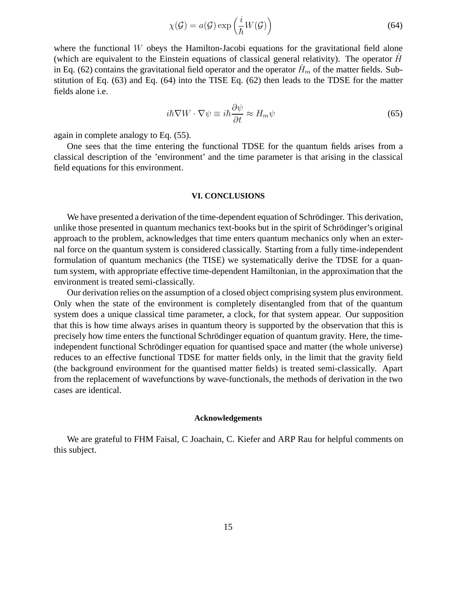$$
\chi(\mathcal{G}) = a(\mathcal{G}) \exp\left(\frac{i}{\hbar}W(\mathcal{G})\right) \tag{64}
$$

where the functional W obeys the Hamilton-Jacobi equations for the gravitational field alone (which are equivalent to the Einstein equations of classical general relativity). The operator  $\hat{H}$ in Eq. (62) contains the gravitational field operator and the operator  $H<sub>m</sub>$  of the matter fields. Substitution of Eq. (63) and Eq. (64) into the TISE Eq. (62) then leads to the TDSE for the matter fields alone i.e.

$$
i\hbar \nabla W \cdot \nabla \psi \equiv i\hbar \frac{\partial \psi}{\partial t} \approx H_m \psi \tag{65}
$$

again in complete analogy to Eq. (55).

One sees that the time entering the functional TDSE for the quantum fields arises from a classical description of the 'environment' and the time parameter is that arising in the classical field equations for this environment.

#### **VI. CONCLUSIONS**

We have presented a derivation of the time-dependent equation of Schrödinger. This derivation, unlike those presented in quantum mechanics text-books but in the spirit of Schrödinger's original approach to the problem, acknowledges that time enters quantum mechanics only when an external force on the quantum system is considered classically. Starting from a fully time-independent formulation of quantum mechanics (the TISE) we systematically derive the TDSE for a quantum system, with appropriate effective time-dependent Hamiltonian, in the approximation that the environment is treated semi-classically.

Our derivation relies on the assumption of a closed object comprising system plus environment. Only when the state of the environment is completely disentangled from that of the quantum system does a unique classical time parameter, a clock, for that system appear. Our supposition that this is how time always arises in quantum theory is supported by the observation that this is precisely how time enters the functional Schrödinger equation of quantum gravity. Here, the timeindependent functional Schrödinger equation for quantised space and matter (the whole universe) reduces to an effective functional TDSE for matter fields only, in the limit that the gravity field (the background environment for the quantised matter fields) is treated semi-classically. Apart from the replacement of wavefunctions by wave-functionals, the methods of derivation in the two cases are identical.

#### **Acknowledgements**

We are grateful to FHM Faisal, C Joachain, C. Kiefer and ARP Rau for helpful comments on this subject.